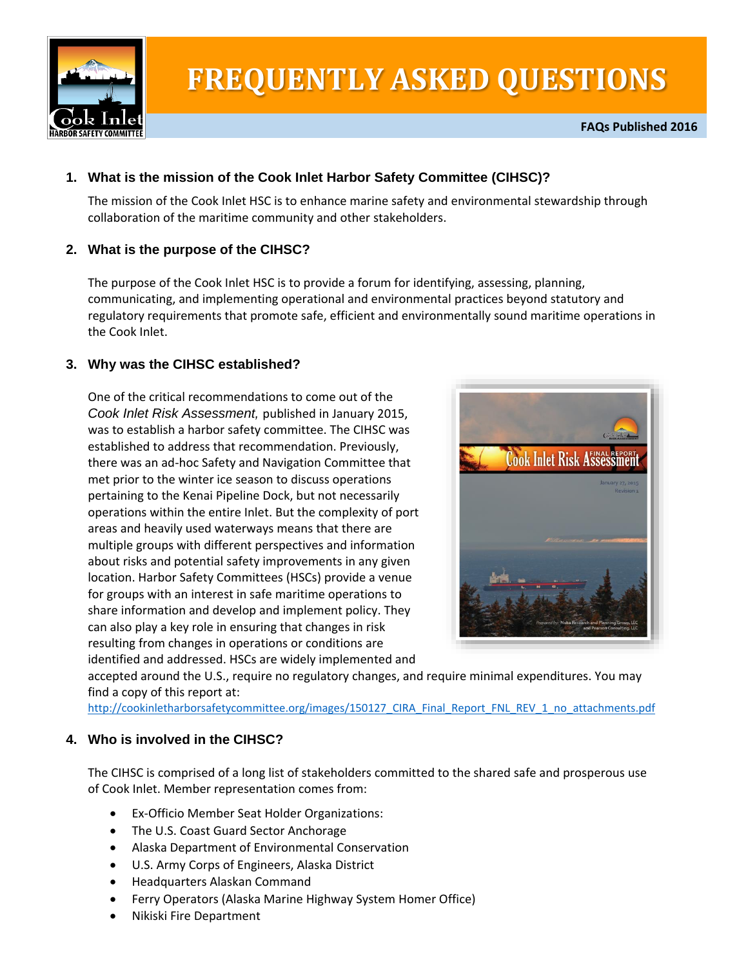

# **FREQUENTLY ASKED QUESTIONS**

# **1. What is the mission of the Cook Inlet Harbor Safety Committee (CIHSC)?**

The mission of the Cook Inlet HSC is to enhance marine safety and environmental stewardship through collaboration of the maritime community and other stakeholders.

## **2. What is the purpose of the CIHSC?**

The purpose of the Cook Inlet HSC is to provide a forum for identifying, assessing, planning, communicating, and implementing operational and environmental practices beyond statutory and regulatory requirements that promote safe, efficient and environmentally sound maritime operations in the Cook Inlet.

## **3. Why was the CIHSC established?**

One of the critical recommendations to come out of the *Cook Inlet Risk Assessment,* published in January 2015, was to establish a harbor safety committee. The CIHSC was established to address that recommendation. Previously, there was an ad-hoc Safety and Navigation Committee that met prior to the winter ice season to discuss operations pertaining to the Kenai Pipeline Dock, but not necessarily operations within the entire Inlet. But the complexity of port areas and heavily used waterways means that there are multiple groups with different perspectives and information about risks and potential safety improvements in any given location. Harbor Safety Committees (HSCs) provide a venue for groups with an interest in safe maritime operations to share information and develop and implement policy. They can also play a key role in ensuring that changes in risk resulting from changes in operations or conditions are identified and addressed. HSCs are widely implemented and



accepted around the U.S., require no regulatory changes, and require minimal expenditures. You may find a copy of this report at:

[http://cookinletharborsafetycommittee.org/images/150127\\_CIRA\\_Final\\_Report\\_FNL\\_REV\\_1\\_no\\_attachments.pdf](http://cookinletharborsafetycommittee.org/images/150127_CIRA_Final_Report_FNL_REV_1_no_attachments.pdf)

## **4. Who is involved in the CIHSC?**

The CIHSC is comprised of a long list of stakeholders committed to the shared safe and prosperous use of Cook Inlet. Member representation comes from:

- Ex-Officio Member Seat Holder Organizations:
- The U.S. Coast Guard Sector Anchorage
- Alaska Department of Environmental Conservation
- U.S. Army Corps of Engineers, Alaska District
- Headquarters Alaskan Command
- Ferry Operators (Alaska Marine Highway System Homer Office)
- Nikiski Fire Department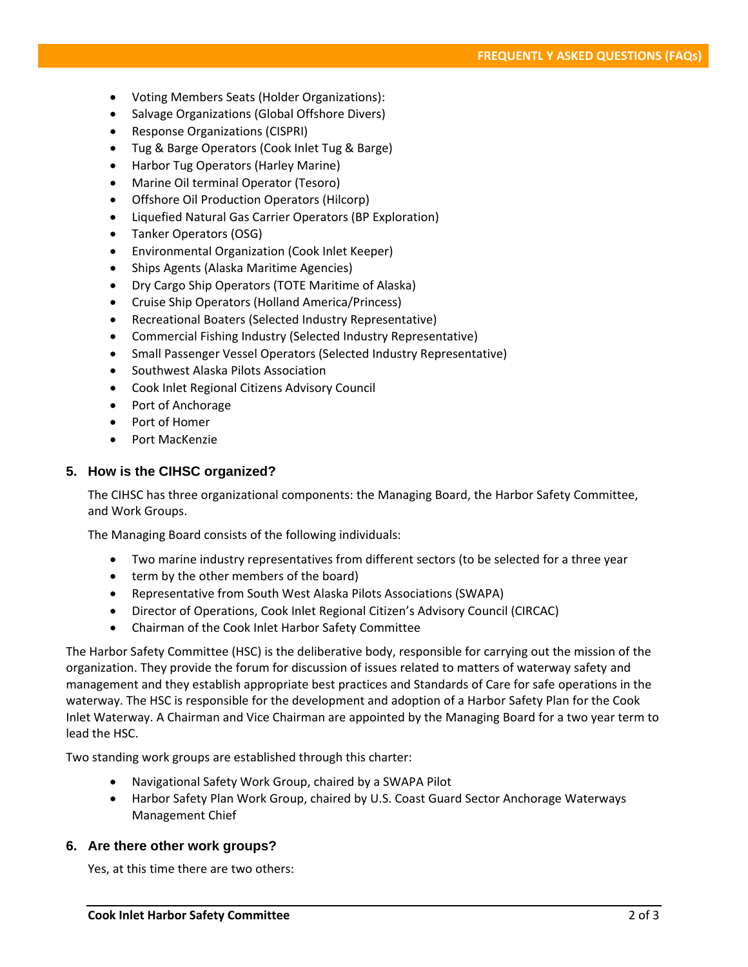- Voting Members Seats (Holder Organizations):
- Salvage Organizations (Global Offshore Divers)
- Response Organizations (CISPRI)
- Tug & Barge Operators (Cook Inlet Tug & Barge)
- Harbor Tug Operators (Harley Marine)
- Marine Oil terminal Operator (Tesoro)
- Offshore Oil Production Operators (Hilcorp)
- Liquefied Natural Gas Carrier Operators (BP Exploration)
- Tanker Operators (OSG)
- Environmental Organization (Cook Inlet Keeper)
- Ships Agents (Alaska Maritime Agencies)
- Dry Cargo Ship Operators (TOTE Maritime of Alaska)
- Cruise Ship Operators (Holland America/Princess)
- Recreational Boaters (Selected Industry Representative)
- Commercial Fishing Industry (Selected Industry Representative)
- Small Passenger Vessel Operators (Selected Industry Representative)
- **•** Southwest Alaska Pilots Association
- Cook Inlet Regional Citizens Advisory Council
- Port of Anchorage
- Port of Homer
- Port MacKenzie

#### **5. How is the CIHSC organized?**

The CIHSC has three organizational components: the Managing Board, the Harbor Safety Committee, and Work Groups.

The Managing Board consists of the following individuals:

- Two marine industry representatives from different sectors (to be selected for a three year
- term by the other members of the board)
- Representative from South West Alaska Pilots Associations (SWAPA)
- Director of Operations, Cook Inlet Regional Citizen's Advisory Council (CIRCAC)
- Chairman of the Cook Inlet Harbor Safety Committee

The Harbor Safety Committee (HSC) is the deliberative body, responsible for carrying out the mission of the organization. They provide the forum for discussion of issues related to matters of waterway safety and management and they establish appropriate best practices and Standards of Care for safe operations in the waterway. The HSC is responsible for the development and adoption of a Harbor Safety Plan for the Cook Inlet Waterway. A Chairman and Vice Chairman are appointed by the Managing Board for a two year term to lead the HSC.

Two standing work groups are established through this charter:

- Navigational Safety Work Group, chaired by a SWAPA Pilot
- Harbor Safety Plan Work Group, chaired by U.S. Coast Guard Sector Anchorage Waterways Management Chief

#### **6. Are there other work groups?**

Yes, at this time there are two others: